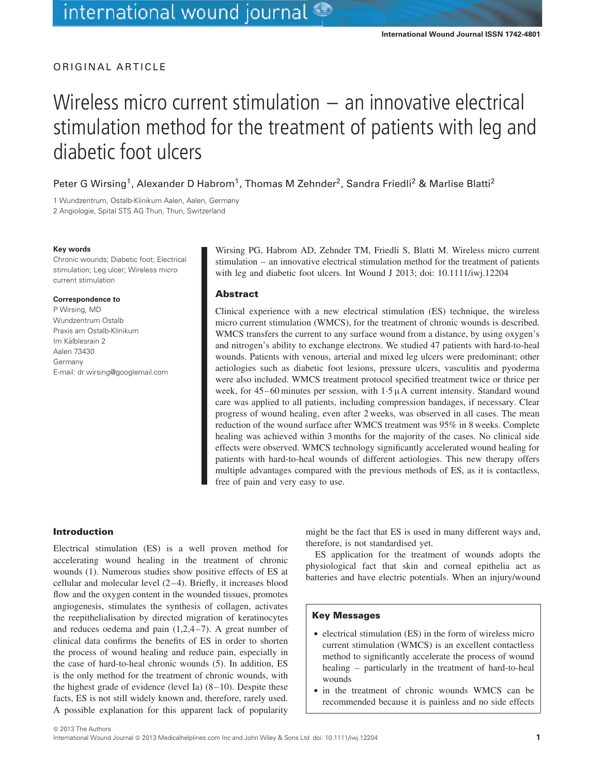## ORIGINAL ARTICLE

# Wireless micro current stimulation – an innovative electrical stimulation method for the treatment of patients with leg and diabetic foot ulcers

Peter G Wirsing<sup>1</sup>, Alexander D Habrom<sup>1</sup>, Thomas M Zehnder<sup>2</sup>, Sandra Friedli<sup>2</sup> & Marlise Blatti<sup>2</sup>

1 Wundzentrum, Ostalb-Klinikum Aalen, Aalen, Germany 2 Angiologie, Spital STS AG Thun, Thun, Switzerland

#### **Key words**

Chronic wounds; Diabetic foot; Electrical stimulation; Leg ulcer; Wireless micro current stimulation

#### **Correspondence to**

P Wirsing, MD Wundzentrum Ostalb Praxis am Ostalb-Klinikum Im Kälblesrain 2 Aalen 73430 Germany E-mail: dr.wirsing@googlemail.com Wirsing PG, Habrom AD, Zehnder TM, Friedli S, Blatti M. Wireless micro current stimulation – an innovative electrical stimulation method for the treatment of patients with leg and diabetic foot ulcers. Int Wound J 2013; doi: 10.1111/iwj.12204

## **Abstract**

Clinical experience with a new electrical stimulation (ES) technique, the wireless micro current stimulation (WMCS), for the treatment of chronic wounds is described. WMCS transfers the current to any surface wound from a distance, by using oxygen's and nitrogen's ability to exchange electrons. We studied 47 patients with hard-to-heal wounds. Patients with venous, arterial and mixed leg ulcers were predominant; other aetiologies such as diabetic foot lesions, pressure ulcers, vasculitis and pyoderma were also included. WMCS treatment protocol specified treatment twice or thrice per week, for 45–60 minutes per session, with 1·5μA current intensity. Standard wound care was applied to all patients, including compression bandages, if necessary. Clear progress of wound healing, even after 2 weeks, was observed in all cases. The mean reduction of the wound surface after WMCS treatment was 95% in 8 weeks. Complete healing was achieved within 3 months for the majority of the cases. No clinical side effects were observed. WMCS technology significantly accelerated wound healing for patients with hard-to-heal wounds of different aetiologies. This new therapy offers multiple advantages compared with the previous methods of ES, as it is contactless, free of pain and very easy to use.

## **Introduction**

Electrical stimulation (ES) is a well proven method for accelerating wound healing in the treatment of chronic wounds (1). Numerous studies show positive effects of ES at cellular and molecular level (2–4). Briefly, it increases blood flow and the oxygen content in the wounded tissues, promotes angiogenesis, stimulates the synthesis of collagen, activates the reepithelialisation by directed migration of keratinocytes and reduces oedema and pain  $(1,2,4-7)$ . A great number of clinical data confirms the benefits of ES in order to shorten the process of wound healing and reduce pain, especially in the case of hard-to-heal chronic wounds (5). In addition, ES is the only method for the treatment of chronic wounds, with the highest grade of evidence (level Ia) (8–10). Despite these facts, ES is not still widely known and, therefore, rarely used. A possible explanation for this apparent lack of popularity

might be the fact that ES is used in many different ways and, therefore, is not standardised yet.

ES application for the treatment of wounds adopts the physiological fact that skin and corneal epithelia act as batteries and have electric potentials. When an injury/wound

## **Key Messages**

- electrical stimulation (ES) in the form of wireless micro current stimulation (WMCS) is an excellent contactless method to significantly accelerate the process of wound healing – particularly in the treatment of hard-to-heal wounds
- in the treatment of chronic wounds WMCS can be recommended because it is painless and no side effects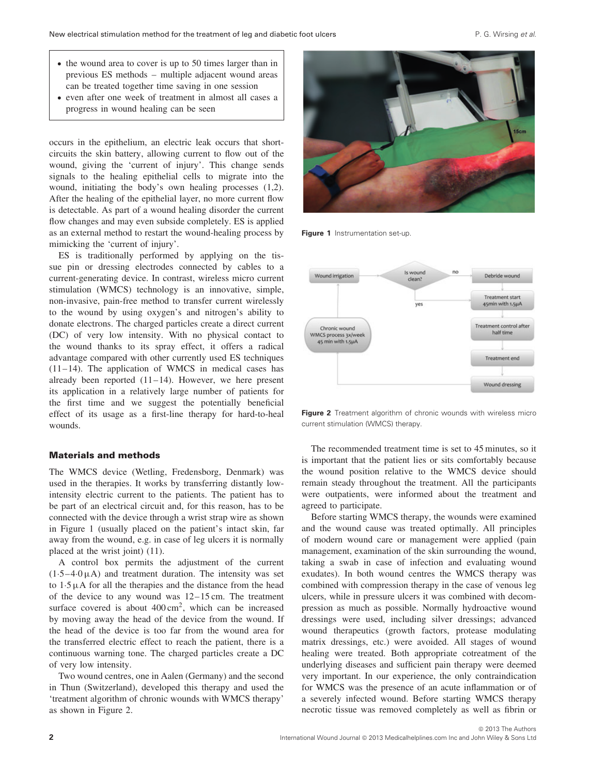- the wound area to cover is up to 50 times larger than in previous ES methods – multiple adjacent wound areas can be treated together time saving in one session
- even after one week of treatment in almost all cases a progress in wound healing can be seen

occurs in the epithelium, an electric leak occurs that shortcircuits the skin battery, allowing current to flow out of the wound, giving the 'current of injury'. This change sends signals to the healing epithelial cells to migrate into the wound, initiating the body's own healing processes (1,2). After the healing of the epithelial layer, no more current flow is detectable. As part of a wound healing disorder the current flow changes and may even subside completely. ES is applied as an external method to restart the wound-healing process by mimicking the 'current of injury'.

ES is traditionally performed by applying on the tissue pin or dressing electrodes connected by cables to a current-generating device. In contrast, wireless micro current stimulation (WMCS) technology is an innovative, simple, non-invasive, pain-free method to transfer current wirelessly to the wound by using oxygen's and nitrogen's ability to donate electrons. The charged particles create a direct current (DC) of very low intensity. With no physical contact to the wound thanks to its spray effect, it offers a radical advantage compared with other currently used ES techniques  $(11-14)$ . The application of WMCS in medical cases has already been reported  $(11–14)$ . However, we here present its application in a relatively large number of patients for the first time and we suggest the potentially beneficial effect of its usage as a first-line therapy for hard-to-heal wounds.

#### **Materials and methods**

The WMCS device (Wetling, Fredensborg, Denmark) was used in the therapies. It works by transferring distantly lowintensity electric current to the patients. The patient has to be part of an electrical circuit and, for this reason, has to be connected with the device through a wrist strap wire as shown in Figure 1 (usually placed on the patient's intact skin, far away from the wound, e.g. in case of leg ulcers it is normally placed at the wrist joint) (11).

A control box permits the adjustment of the current  $(1.5-4.0 \,\mu\text{A})$  and treatment duration. The intensity was set to  $1.5 \mu A$  for all the therapies and the distance from the head of the device to any wound was 12–15 cm. The treatment surface covered is about  $400 \text{ cm}^2$ , which can be increased by moving away the head of the device from the wound. If the head of the device is too far from the wound area for the transferred electric effect to reach the patient, there is a continuous warning tone. The charged particles create a DC of very low intensity.

Two wound centres, one in Aalen (Germany) and the second in Thun (Switzerland), developed this therapy and used the 'treatment algorithm of chronic wounds with WMCS therapy' as shown in Figure 2.



**Figure 1** Instrumentation set-up.



**Figure 2** Treatment algorithm of chronic wounds with wireless micro current stimulation (WMCS) therapy.

The recommended treatment time is set to 45 minutes, so it is important that the patient lies or sits comfortably because the wound position relative to the WMCS device should remain steady throughout the treatment. All the participants were outpatients, were informed about the treatment and agreed to participate.

Before starting WMCS therapy, the wounds were examined and the wound cause was treated optimally. All principles of modern wound care or management were applied (pain management, examination of the skin surrounding the wound, taking a swab in case of infection and evaluating wound exudates). In both wound centres the WMCS therapy was combined with compression therapy in the case of venous leg ulcers, while in pressure ulcers it was combined with decompression as much as possible. Normally hydroactive wound dressings were used, including silver dressings; advanced wound therapeutics (growth factors, protease modulating matrix dressings, etc.) were avoided. All stages of wound healing were treated. Both appropriate cotreatment of the underlying diseases and sufficient pain therapy were deemed very important. In our experience, the only contraindication for WMCS was the presence of an acute inflammation or of a severely infected wound. Before starting WMCS therapy necrotic tissue was removed completely as well as fibrin or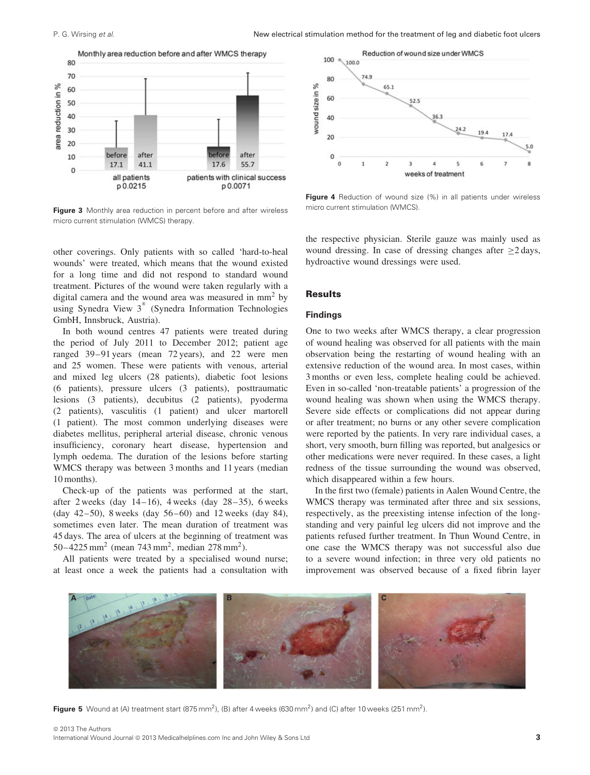

Figure 3 Monthly area reduction in percent before and after wireless micro current stimulation (WMCS) therapy.

other coverings. Only patients with so called 'hard-to-heal wounds' were treated, which means that the wound existed for a long time and did not respond to standard wound treatment. Pictures of the wound were taken regularly with a digital camera and the wound area was measured in mm2 by using Synedra View 3® (Synedra Information Technologies GmbH, Innsbruck, Austria).

In both wound centres 47 patients were treated during the period of July 2011 to December 2012; patient age ranged 39–91 years (mean 72 years), and 22 were men and 25 women. These were patients with venous, arterial and mixed leg ulcers (28 patients), diabetic foot lesions (6 patients), pressure ulcers (3 patients), posttraumatic lesions (3 patients), decubitus (2 patients), pyoderma (2 patients), vasculitis (1 patient) and ulcer martorell (1 patient). The most common underlying diseases were diabetes mellitus, peripheral arterial disease, chronic venous insufficiency, coronary heart disease, hypertension and lymph oedema. The duration of the lesions before starting WMCS therapy was between 3 months and 11 years (median 10 months).

Check-up of the patients was performed at the start, after 2 weeks (day  $14-16$ ), 4 weeks (day  $28-35$ ), 6 weeks (day 42–50), 8 weeks (day 56–60) and 12 weeks (day 84), sometimes even later. The mean duration of treatment was 45 days. The area of ulcers at the beginning of treatment was 50–4225 mm<sup>2</sup> (mean 743 mm<sup>2</sup>, median 278 mm<sup>2</sup>).

All patients were treated by a specialised wound nurse; at least once a week the patients had a consultation with



**Figure 4** Reduction of wound size (%) in all patients under wireless micro current stimulation (WMCS).

the respective physician. Sterile gauze was mainly used as wound dressing. In case of dressing changes after ≥2 days, hydroactive wound dressings were used.

## **Results**

#### **Findings**

One to two weeks after WMCS therapy, a clear progression of wound healing was observed for all patients with the main observation being the restarting of wound healing with an extensive reduction of the wound area. In most cases, within 3 months or even less, complete healing could be achieved. Even in so-called 'non-treatable patients' a progression of the wound healing was shown when using the WMCS therapy. Severe side effects or complications did not appear during or after treatment; no burns or any other severe complication were reported by the patients. In very rare individual cases, a short, very smooth, burn filling was reported, but analgesics or other medications were never required. In these cases, a light redness of the tissue surrounding the wound was observed, which disappeared within a few hours.

In the first two (female) patients in Aalen Wound Centre, the WMCS therapy was terminated after three and six sessions, respectively, as the preexisting intense infection of the longstanding and very painful leg ulcers did not improve and the patients refused further treatment. In Thun Wound Centre, in one case the WMCS therapy was not successful also due to a severe wound infection; in three very old patients no improvement was observed because of a fixed fibrin layer



**Figure 5** Wound at (A) treatment start (875 mm<sup>2</sup>), (B) after 4 weeks (630 mm<sup>2</sup>) and (C) after 10 weeks (251 mm<sup>2</sup>).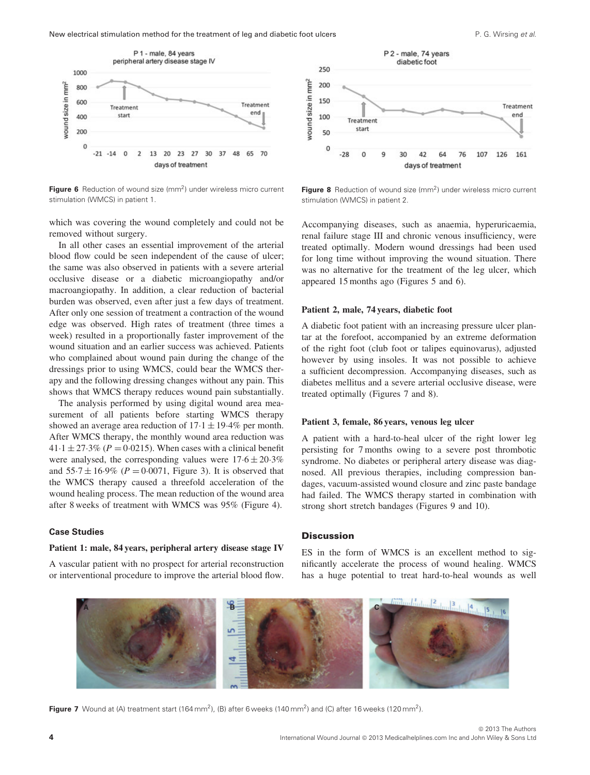

**Figure 6** Reduction of wound size (mm<sup>2</sup>) under wireless micro current stimulation (WMCS) in patient 1.



**Figure 8** Reduction of wound size (mm<sup>2</sup>) under wireless micro current stimulation (WMCS) in patient 2.

which was covering the wound completely and could not be removed without surgery.

In all other cases an essential improvement of the arterial blood flow could be seen independent of the cause of ulcer; the same was also observed in patients with a severe arterial occlusive disease or a diabetic microangiopathy and/or macroangiopathy. In addition, a clear reduction of bacterial burden was observed, even after just a few days of treatment. After only one session of treatment a contraction of the wound edge was observed. High rates of treatment (three times a week) resulted in a proportionally faster improvement of the wound situation and an earlier success was achieved. Patients who complained about wound pain during the change of the dressings prior to using WMCS, could bear the WMCS therapy and the following dressing changes without any pain. This shows that WMCS therapy reduces wound pain substantially.

The analysis performed by using digital wound area measurement of all patients before starting WMCS therapy showed an average area reduction of  $17.1 \pm 19.4\%$  per month. After WMCS therapy, the monthly wound area reduction was  $41.1 \pm 27.3\%$  ( $P = 0.0215$ ). When cases with a clinical benefit were analysed, the corresponding values were  $17.6 \pm 20.3\%$ and  $55.7 \pm 16.9\%$  ( $P = 0.0071$ , Figure 3). It is observed that the WMCS therapy caused a threefold acceleration of the wound healing process. The mean reduction of the wound area after 8 weeks of treatment with WMCS was 95% (Figure 4).

## **Case Studies**

#### **Patient 1: male, 84 years, peripheral artery disease stage IV**

A vascular patient with no prospect for arterial reconstruction or interventional procedure to improve the arterial blood flow.

## Accompanying diseases, such as anaemia, hyperuricaemia, renal failure stage III and chronic venous insufficiency, were treated optimally. Modern wound dressings had been used for long time without improving the wound situation. There was no alternative for the treatment of the leg ulcer, which appeared 15 months ago (Figures 5 and 6).

#### **Patient 2, male, 74 years, diabetic foot**

A diabetic foot patient with an increasing pressure ulcer plantar at the forefoot, accompanied by an extreme deformation of the right foot (club foot or talipes equinovarus), adjusted however by using insoles. It was not possible to achieve a sufficient decompression. Accompanying diseases, such as diabetes mellitus and a severe arterial occlusive disease, were treated optimally (Figures 7 and 8).

#### **Patient 3, female, 86 years, venous leg ulcer**

A patient with a hard-to-heal ulcer of the right lower leg persisting for 7 months owing to a severe post thrombotic syndrome. No diabetes or peripheral artery disease was diagnosed. All previous therapies, including compression bandages, vacuum-assisted wound closure and zinc paste bandage had failed. The WMCS therapy started in combination with strong short stretch bandages (Figures 9 and 10).

#### **Discussion**

ES in the form of WMCS is an excellent method to significantly accelerate the process of wound healing. WMCS has a huge potential to treat hard-to-heal wounds as well



**Figure 7** Wound at (A) treatment start (164 mm<sup>2</sup>), (B) after 6 weeks (140 mm<sup>2</sup>) and (C) after 16 weeks (120 mm<sup>2</sup>).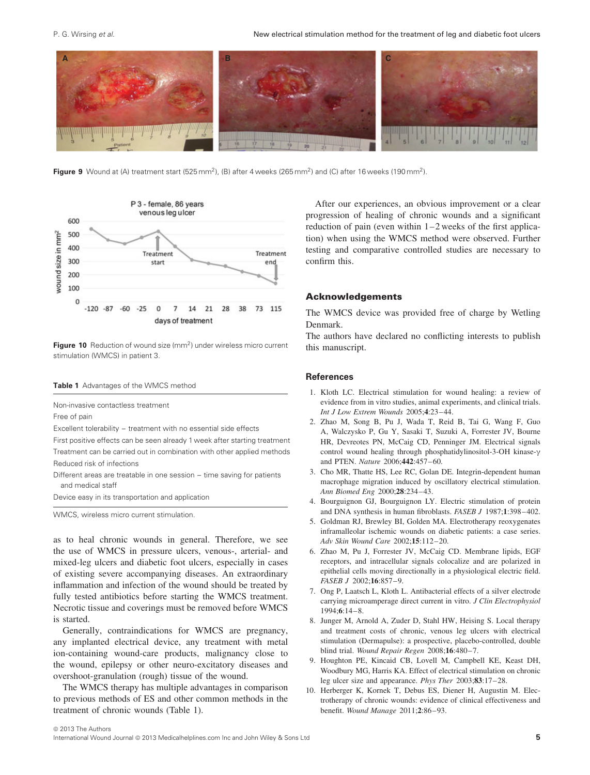

**Figure 9** Wound at (A) treatment start (525 mm<sup>2</sup>), (B) after 4 weeks (265 mm<sup>2</sup>) and (C) after 16 weeks (190 mm<sup>2</sup>).



**Figure 10** Reduction of wound size (mm<sup>2</sup>) under wireless micro current stimulation (WMCS) in patient 3.

#### **Table 1** Advantages of the WMCS method

Non-invasive contactless treatment

Free of pain

Excellent tolerability – treatment with no essential side effects

First positive effects can be seen already 1 week after starting treatment Treatment can be carried out in combination with other applied methods Reduced risk of infections

Different areas are treatable in one session – time saving for patients and medical staff

Device easy in its transportation and application

WMCS, wireless micro current stimulation.

as to heal chronic wounds in general. Therefore, we see the use of WMCS in pressure ulcers, venous-, arterial- and mixed-leg ulcers and diabetic foot ulcers, especially in cases of existing severe accompanying diseases. An extraordinary inflammation and infection of the wound should be treated by fully tested antibiotics before starting the WMCS treatment. Necrotic tissue and coverings must be removed before WMCS is started.

Generally, contraindications for WMCS are pregnancy, any implanted electrical device, any treatment with metal ion-containing wound-care products, malignancy close to the wound, epilepsy or other neuro-excitatory diseases and overshoot-granulation (rough) tissue of the wound.

The WMCS therapy has multiple advantages in comparison to previous methods of ES and other common methods in the treatment of chronic wounds (Table 1).

After our experiences, an obvious improvement or a clear progression of healing of chronic wounds and a significant reduction of pain (even within 1–2 weeks of the first application) when using the WMCS method were observed. Further testing and comparative controlled studies are necessary to confirm this.

## **Acknowledgements**

The WMCS device was provided free of charge by Wetling Denmark.

The authors have declared no conflicting interests to publish this manuscript.

### **References**

- 1. Kloth LC. Electrical stimulation for wound healing: a review of evidence from in vitro studies, animal experiments, and clinical trials. *Int J Low Extrem Wounds* 2005;**4**:23–44.
- 2. Zhao M, Song B, Pu J, Wada T, Reid B, Tai G, Wang F, Guo A, Walczysko P, Gu Y, Sasaki T, Suzuki A, Forrester JV, Bourne HR, Devreotes PN, McCaig CD, Penninger JM. Electrical signals control wound healing through phosphatidylinositol-3-OH kinase-γ and PTEN. *Nature* 2006;**442**:457–60.
- 3. Cho MR, Thatte HS, Lee RC, Golan DE. Integrin-dependent human macrophage migration induced by oscillatory electrical stimulation. *Ann Biomed Eng* 2000;**28**:234–43.
- 4. Bourguignon GJ, Bourguignon LY. Electric stimulation of protein and DNA synthesis in human fibroblasts. *FASEB J* 1987;**1**:398–402.
- 5. Goldman RJ, Brewley BI, Golden MA. Electrotherapy reoxygenates inframalleolar ischemic wounds on diabetic patients: a case series. *Adv Skin Wound Care* 2002;**15**:112–20.
- 6. Zhao M, Pu J, Forrester JV, McCaig CD. Membrane lipids, EGF receptors, and intracellular signals colocalize and are polarized in epithelial cells moving directionally in a physiological electric field. *FASEB J* 2002;**16**:857–9.
- 7. Ong P, Laatsch L, Kloth L. Antibacterial effects of a silver electrode carrying microamperage direct current in vitro. *J Clin Electrophysiol* 1994;**6**:14–8.
- 8. Junger M, Arnold A, Zuder D, Stahl HW, Heising S. Local therapy and treatment costs of chronic, venous leg ulcers with electrical stimulation (Dermapulse): a prospective, placebo-controlled, double blind trial. *Wound Repair Regen* 2008;**16**:480–7.
- 9. Houghton PE, Kincaid CB, Lovell M, Campbell KE, Keast DH, Woodbury MG, Harris KA. Effect of electrical stimulation on chronic leg ulcer size and appearance. *Phys Ther* 2003;**83**:17–28.
- 10. Herberger K, Kornek T, Debus ES, Diener H, Augustin M. Electrotherapy of chronic wounds: evidence of clinical effectiveness and benefit. *Wound Manage* 2011;**2**:86–93.